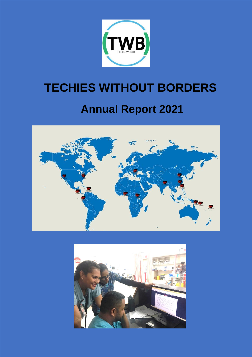

# **TECHIES WITHOUT BORDERS Annual Report 2021**



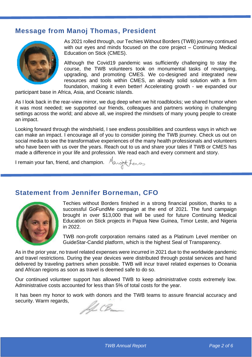## **Message from Manoj Thomas, President**



As 2021 rolled through, our Techies Without Borders (TWB) journey continued with our eyes and minds focused on the core project – Continuing Medical Education on Stick (CMES).

Although the Covid19 pandemic was sufficiently challenging to stay the course, the TWB volunteers took on monumental tasks of revamping, upgrading, and promoting CMES. We co-designed and integrated new resources and tools within CMES, an already solid solution with a firm foundation, making it even better! Accelerating growth - we expanded our

participant base in Africa, Asia, and Oceanic islands.

As I look back in the rear-view mirror, we dug deep when we hit roadblocks; we shared humor when it was most needed; we supported our friends, colleagues and partners working in challenging settings across the world; and above all, we inspired the mindsets of many young people to create an impact.

Looking forward through the windshield, I see endless possibilities and countless ways in which we can make an impact. I encourage all of you to consider joining the TWB journey. Check us out on social media to see the transformative experiences of the many health professionals and volunteers who have been with us over the years. Reach out to us and share your tales if TWB or CMES has made a difference in your life and profession. We read each and every comment and story.

I remain your fan, friend, and champion. Manothenos

## **Statement from Jennifer Borneman, CFO**



Techies without Borders finished in a strong financial position, thanks to a successful GoFundMe campaign at the end of 2021. The fund campaign brought in over \$13,000 that will be used for future Continuing Medical Education on Stick projects in Papua New Guinea, Timor Leste, and Nigeria in 2022.

TWB non-profit corporation remains rated as a Platinum Level member on GuideStar-Candid platform, which is the highest Seal of Transparency.

As in the prior year, no travel related expenses were incurred in 2021 due to the worldwide pandemic and travel restrictions. During the year devices were distributed through postal services and hand delivered by traveling partners when possible. TWB will incur travel related expenses to Oceania and African regions as soon as travel is deemed safe to do so.

Our continued volunteer support has allowed TWB to keep administrative costs extremely low. Administrative costs accounted for less than 5% of total costs for the year.

It has been my honor to work with donors and the TWB teams to assure financial accuracy and security. Warm regards,

IL CB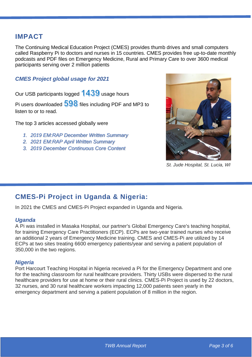## **IMPACT**

The Continuing Medical Education Project (CMES) provides thumb drives and small computers called Raspberry Pi to doctors and nurses in 15 countries. CMES provides free up-to-date monthly podcasts and PDF files on Emergency Medicine, Rural and Primary Care to over 3600 medical participants serving over 2 million patients

### *CMES Project global usage for 2021*

Our USB participants logged  $1439$  usage hours

Pi users downloaded  $598$  files including PDF and MP3 to listen to or to read.

The top 3 articles accessed globally were

- *1. 2019 EM:RAP December Written Summary*
- *2. 2021 EM:RAP April Written Summary*
- *3. 2019 December Continuous Core Content*



*St. Jude Hospital, St. Lucia, WI*

# **CMES-Pi Project in Uganda & Nigeria:**

In 2021 the CMES and CMES-Pi Project expanded in Uganda and Nigeria.

#### *Uganda*

A Pi was installed in Masaka Hospital, our partner's Global Emergency Care's teaching hospital, for training Emergency Care Practitioners (ECP). ECPs are two-year trained nurses who receive an additional 2 years of Emergency Medicine training. CMES and CMES-Pi are utilized by 14 ECPs at two sites treating 6600 emergency patients/year and serving a patient population of 350,000 in the two regions.

#### *Nigeria*

Port Harcourt Teaching Hospital in Nigeria received a Pi for the Emergency Department and one for the teaching classroom for rural healthcare providers. Thirty USBs were dispersed to the rural healthcare providers for use at home or their rural clinics. CMES-Pi Project is used by 22 doctors, 32 nurses, and 30 rural healthcare workers impacting 12,000 patients seen yearly in the emergency department and serving a patient population of 8 million in the region.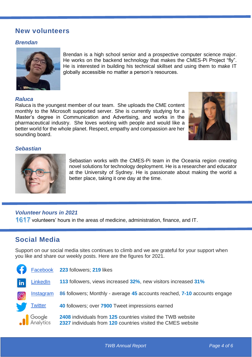## **New volunteers**

#### *Brendan*



Brendan is a high school senior and a prospective computer science major. He works on the backend technology that makes the CMES-Pi Project "fly". He is interested in building his technical skillset and using them to make IT globally accessible no matter a person's resources.

#### *Raluca*

Raluca is the youngest member of our team. She uploads the CME content monthly to the Microsoft supported server. She is currently studying for a Master's degree in Communication and Advertising, and works in the pharmaceutical industry. She loves working with people and would like a better world for the whole planet. Respect, empathy and compassion are her sounding board.



#### *Sebastian*



Sebastian works with the CMES-Pi team in the Oceania region creating novel solutions for technology deployment. He is a researcher and educator at the University of Sydney. He is passionate about making the world a better place, taking it one day at the time.

#### *Volunteer hours in 2021*

 $1617$  volunteers' hours in the areas of medicine, administration, finance, and IT.

## **Social Media**

Support on our social media sites continues to climb and we are grateful for your support when you like and share our weekly posts. Here are the figures for 2021.

| G              |                            | Facebook 223 followers; 219 likes                                                                                           |
|----------------|----------------------------|-----------------------------------------------------------------------------------------------------------------------------|
| $\mathsf{lin}$ | LinkedIn                   | 113 followers, views increased 32%, new visitors increased 31%                                                              |
| $\overline{O}$ | <b>Instagram</b>           | 86 followers; Monthly - average 45 accounts reached, 7-10 accounts engage                                                   |
|                | <b>Twitter</b>             | 40 followers; over 7900 Tweet impressions earned                                                                            |
|                | <b>Soogle</b><br>Analytics | 2408 individuals from 125 countries visited the TWB website<br>2327 individuals from 120 countries visited the CMES website |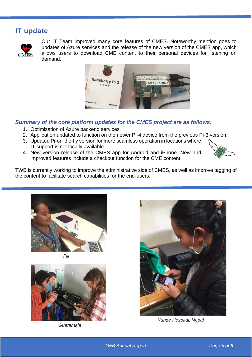# **IT update**



Our IT Team improved many core features of CMES. Noteworthy mention goes to updates of Azure services and the release of the new version of the CMES app, which allows users to download CME content to their personal devices for listening on demand.



### *Summary of the core platform updates for the CMES project are as follows:*

- 1. Optimization of Azure backend services
- 2. Application updated to function on the newer Pi-4 device from the previous Pi-3 version.
- 3. Updated Pi-on-the-fly version for more seamless operation in locations where IT support is not locally available.
- 4. New version release of the CMES app for Android and iPhone. New and improved features include a checkout function for the CME content.



TWB is currently working to improve the administrative side of CMES, as well as improve tagging of the content to facilitate search capabilities for the end-users.







*Guatemala*



*Kunde Hospital, Nepal*